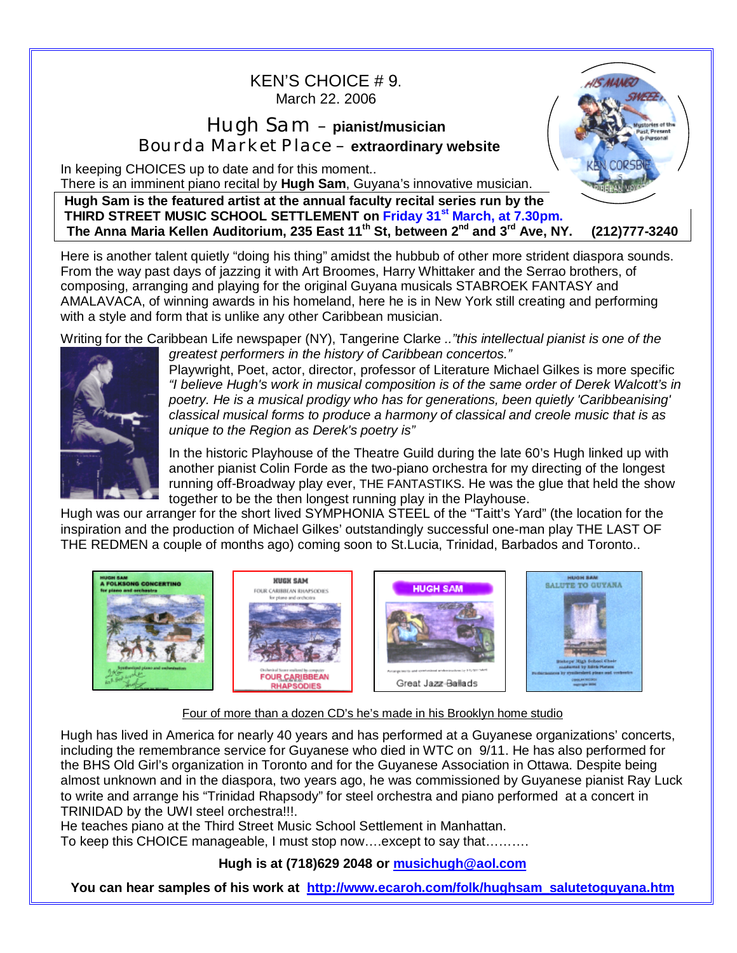## KEN'S CHOICE # 9. March 22. 2006

## Hugh Sam – **pianist/musician** Bourda Market Place – **extraordinary website**

In keeping CHOICES up to date and for this moment..

There is an imminent piano recital by **Hugh Sam**, Guyana's innovative musician.

**Hugh Sam is the featured artist at the annual faculty recital series run by the THIRD STREET MUSIC SCHOOL SETTLEMENT on Friday 31st March, at 7.30pm. The Anna Maria Kellen Auditorium, 235 East 11th St, between 2nd and 3rd Ave, NY. (212)777-3240** 

Here is another talent quietly "doing his thing" amidst the hubbub of other more strident diaspora sounds. From the way past days of jazzing it with Art Broomes, Harry Whittaker and the Serrao brothers, of composing, arranging and playing for the original Guyana musicals STABROEK FANTASY and AMALAVACA, of winning awards in his homeland, here he is in New York still creating and performing with a style and form that is unlike any other Caribbean musician.

Writing for the Caribbean Life newspaper (NY), Tangerine Clarke *.."this intellectual pianist is one of the* 



*greatest performers in the history of Caribbean concertos."* Playwright, Poet, actor, director, professor of Literature Michael Gilkes is more specific *"I believe Hugh's work in musical composition is of the same order of Derek Walcott's in poetry. He is a musical prodigy who has for generations, been quietly 'Caribbeanising' classical musical forms to produce a harmony of classical and creole music that is as unique to the Region as Derek's poetry is"* 

**HIS MANIZ** 

In the historic Playhouse of the Theatre Guild during the late 60's Hugh linked up with another pianist Colin Forde as the two-piano orchestra for my directing of the longest running off-Broadway play ever, THE FANTASTIKS. He was the glue that held the show together to be the then longest running play in the Playhouse.

Hugh was our arranger for the short lived SYMPHONIA STEEL of the "Taitt's Yard" (the location for the inspiration and the production of Michael Gilkes' outstandingly successful one-man play THE LAST OF THE REDMEN a couple of months ago) coming soon to St.Lucia, Trinidad, Barbados and Toronto..



Four of more than a dozen CD's he's made in his Brooklyn home studio

Hugh has lived in America for nearly 40 years and has performed at a Guyanese organizations' concerts, including the remembrance service for Guyanese who died in WTC on 9/11. He has also performed for the BHS Old Girl's organization in Toronto and for the Guyanese Association in Ottawa. Despite being almost unknown and in the diaspora, two years ago, he was commissioned by Guyanese pianist Ray Luck to write and arrange his "Trinidad Rhapsody" for steel orchestra and piano performed at a concert in TRINIDAD by the UWI steel orchestra!!!.

He teaches piano at the Third Street Music School Settlement in Manhattan.

To keep this CHOICE manageable, I must stop now….except to say that……….

## **Hugh is at (718)629 2048 or [musichugh@aol.com](mailto:musichugh@aol.com)**

**You can hear samples of his work at [http://www.ecaroh.com/folk/hughsam\\_salutetoguyana.htm](http://www.ecaroh.com/folk/hughsam_salutetoguyana.htm)**